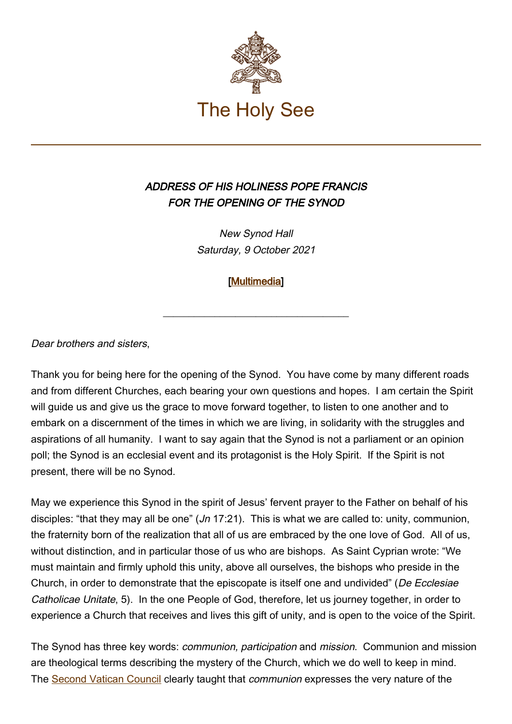

## ADDRESS OF HIS HOLINESS POPE FRANCIS FOR THE OPENING OF THE SYNOD

New Synod Hall Saturday, 9 October 2021

[\[Multimedia](http://w2.vatican.va/content/francesco/en/events/event.dir.html/content/vaticanevents/en/2021/10/9/apertura-camminosinodale.html)]

\_\_\_\_\_\_\_\_\_\_\_\_\_\_\_\_\_\_\_\_\_\_\_\_\_\_\_\_\_\_\_\_\_\_\_\_

Dear brothers and sisters,

Thank you for being here for the opening of the Synod. You have come by many different roads and from different Churches, each bearing your own questions and hopes. I am certain the Spirit will guide us and give us the grace to move forward together, to listen to one another and to embark on a discernment of the times in which we are living, in solidarity with the struggles and aspirations of all humanity. I want to say again that the Synod is not a parliament or an opinion poll; the Synod is an ecclesial event and its protagonist is the Holy Spirit. If the Spirit is not present, there will be no Synod.

May we experience this Synod in the spirit of Jesus' fervent prayer to the Father on behalf of his disciples: "that they may all be one"  $(Jn 17:21)$ . This is what we are called to: unity, communion, the fraternity born of the realization that all of us are embraced by the one love of God. All of us, without distinction, and in particular those of us who are bishops. As Saint Cyprian wrote: "We must maintain and firmly uphold this unity, above all ourselves, the bishops who preside in the Church, in order to demonstrate that the episcopate is itself one and undivided" (De Ecclesiae Catholicae Unitate, 5). In the one People of God, therefore, let us journey together, in order to experience a Church that receives and lives this gift of unity, and is open to the voice of the Spirit.

The Synod has three key words: communion, participation and mission. Communion and mission are theological terms describing the mystery of the Church, which we do well to keep in mind. The [Second Vatican Council](https://www.vatican.va/archive/hist_councils/ii_vatican_council/index_it.htm) clearly taught that *communion* expresses the very nature of the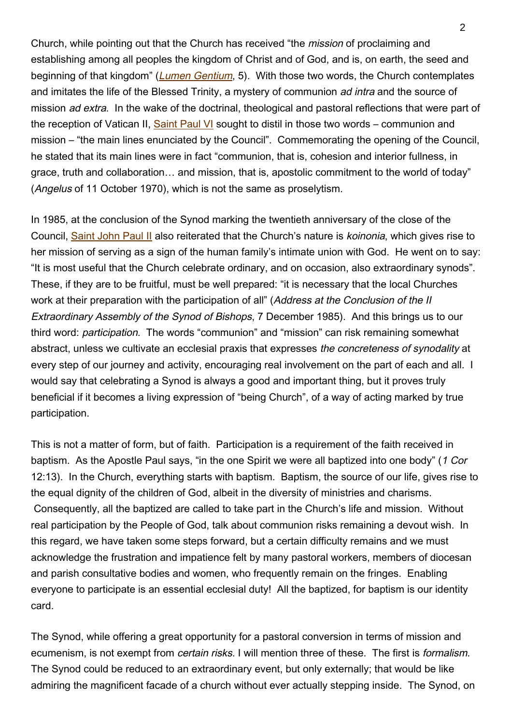Church, while pointing out that the Church has received "the mission of proclaiming and establishing among all peoples the kingdom of Christ and of God, and is, on earth, the seed and beginning of that kingdom" ([Lumen Gentium](https://www.vatican.va/archive/hist_councils/ii_vatican_council/documents/vat-ii_const_19641121_lumen-gentium_en.html), 5). With those two words, the Church contemplates and imitates the life of the Blessed Trinity, a mystery of communion *ad intra* and the source of mission ad extra. In the wake of the doctrinal, theological and pastoral reflections that were part of the reception of Vatican II, [Saint Paul VI](https://www.vatican.va/content/paul-vi/en.html) sought to distil in those two words – communion and mission – "the main lines enunciated by the Council". Commemorating the opening of the Council, he stated that its main lines were in fact "communion, that is, cohesion and interior fullness, in grace, truth and collaboration… and mission, that is, apostolic commitment to the world of today" (Angelus of 11 October 1970), which is not the same as proselytism.

In 1985, at the conclusion of the Synod marking the twentieth anniversary of the close of the Council, [Saint John Paul II](https://www.vatican.va/content/john-paul-ii/en.html) also reiterated that the Church's nature is *koinonia*, which gives rise to her mission of serving as a sign of the human family's intimate union with God. He went on to say: "It is most useful that the Church celebrate ordinary, and on occasion, also extraordinary synods". These, if they are to be fruitful, must be well prepared: "it is necessary that the local Churches work at their preparation with the participation of all" (Address at the Conclusion of the II Extraordinary Assembly of the Synod of Bishops, 7 December 1985). And this brings us to our third word: participation. The words "communion" and "mission" can risk remaining somewhat abstract, unless we cultivate an ecclesial praxis that expresses the concreteness of synodality at every step of our journey and activity, encouraging real involvement on the part of each and all. I would say that celebrating a Synod is always a good and important thing, but it proves truly beneficial if it becomes a living expression of "being Church", of a way of acting marked by true participation.

This is not a matter of form, but of faith. Participation is a requirement of the faith received in baptism. As the Apostle Paul says, "in the one Spirit we were all baptized into one body" (1 Cor 12:13). In the Church, everything starts with baptism. Baptism, the source of our life, gives rise to the equal dignity of the children of God, albeit in the diversity of ministries and charisms. Consequently, all the baptized are called to take part in the Church's life and mission. Without real participation by the People of God, talk about communion risks remaining a devout wish. In this regard, we have taken some steps forward, but a certain difficulty remains and we must acknowledge the frustration and impatience felt by many pastoral workers, members of diocesan and parish consultative bodies and women, who frequently remain on the fringes. Enabling everyone to participate is an essential ecclesial duty! All the baptized, for baptism is our identity card.

The Synod, while offering a great opportunity for a pastoral conversion in terms of mission and ecumenism, is not exempt from certain risks. I will mention three of these. The first is formalism. The Synod could be reduced to an extraordinary event, but only externally; that would be like admiring the magnificent facade of a church without ever actually stepping inside. The Synod, on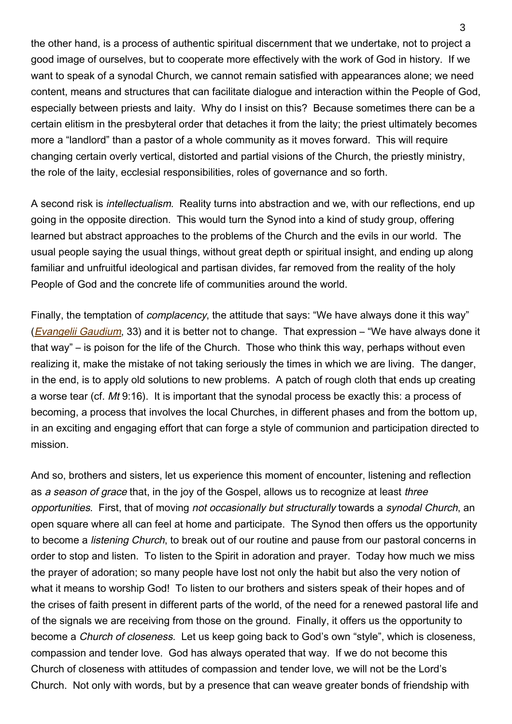the other hand, is a process of authentic spiritual discernment that we undertake, not to project a good image of ourselves, but to cooperate more effectively with the work of God in history. If we want to speak of a synodal Church, we cannot remain satisfied with appearances alone; we need content, means and structures that can facilitate dialogue and interaction within the People of God, especially between priests and laity. Why do I insist on this? Because sometimes there can be a certain elitism in the presbyteral order that detaches it from the laity; the priest ultimately becomes more a "landlord" than a pastor of a whole community as it moves forward. This will require changing certain overly vertical, distorted and partial visions of the Church, the priestly ministry, the role of the laity, ecclesial responsibilities, roles of governance and so forth.

A second risk is intellectualism. Reality turns into abstraction and we, with our reflections, end up going in the opposite direction. This would turn the Synod into a kind of study group, offering learned but abstract approaches to the problems of the Church and the evils in our world. The usual people saying the usual things, without great depth or spiritual insight, and ending up along familiar and unfruitful ideological and partisan divides, far removed from the reality of the holy People of God and the concrete life of communities around the world.

Finally, the temptation of *complacency*, the attitude that says: "We have always done it this way" (*[Evangelii Gaudium](https://www.vatican.va/content/francesco/en/apost_exhortations/documents/papa-francesco_esortazione-ap_20131124_evangelii-gaudium.html#II.%E2%80%82Pastoral_activity_and_conversion)*, 33) and it is better not to change. That expression – "We have always done it that way" – is poison for the life of the Church. Those who think this way, perhaps without even realizing it, make the mistake of not taking seriously the times in which we are living. The danger, in the end, is to apply old solutions to new problems. A patch of rough cloth that ends up creating a worse tear (cf. Mt 9:16). It is important that the synodal process be exactly this: a process of becoming, a process that involves the local Churches, in different phases and from the bottom up, in an exciting and engaging effort that can forge a style of communion and participation directed to mission.

And so, brothers and sisters, let us experience this moment of encounter, listening and reflection as a season of grace that, in the joy of the Gospel, allows us to recognize at least three opportunities. First, that of moving not occasionally but structurally towards a synodal Church, an open square where all can feel at home and participate. The Synod then offers us the opportunity to become a listening Church, to break out of our routine and pause from our pastoral concerns in order to stop and listen. To listen to the Spirit in adoration and prayer. Today how much we miss the prayer of adoration; so many people have lost not only the habit but also the very notion of what it means to worship God! To listen to our brothers and sisters speak of their hopes and of the crises of faith present in different parts of the world, of the need for a renewed pastoral life and of the signals we are receiving from those on the ground. Finally, it offers us the opportunity to become a Church of closeness. Let us keep going back to God's own "style", which is closeness, compassion and tender love. God has always operated that way. If we do not become this Church of closeness with attitudes of compassion and tender love, we will not be the Lord's Church. Not only with words, but by a presence that can weave greater bonds of friendship with